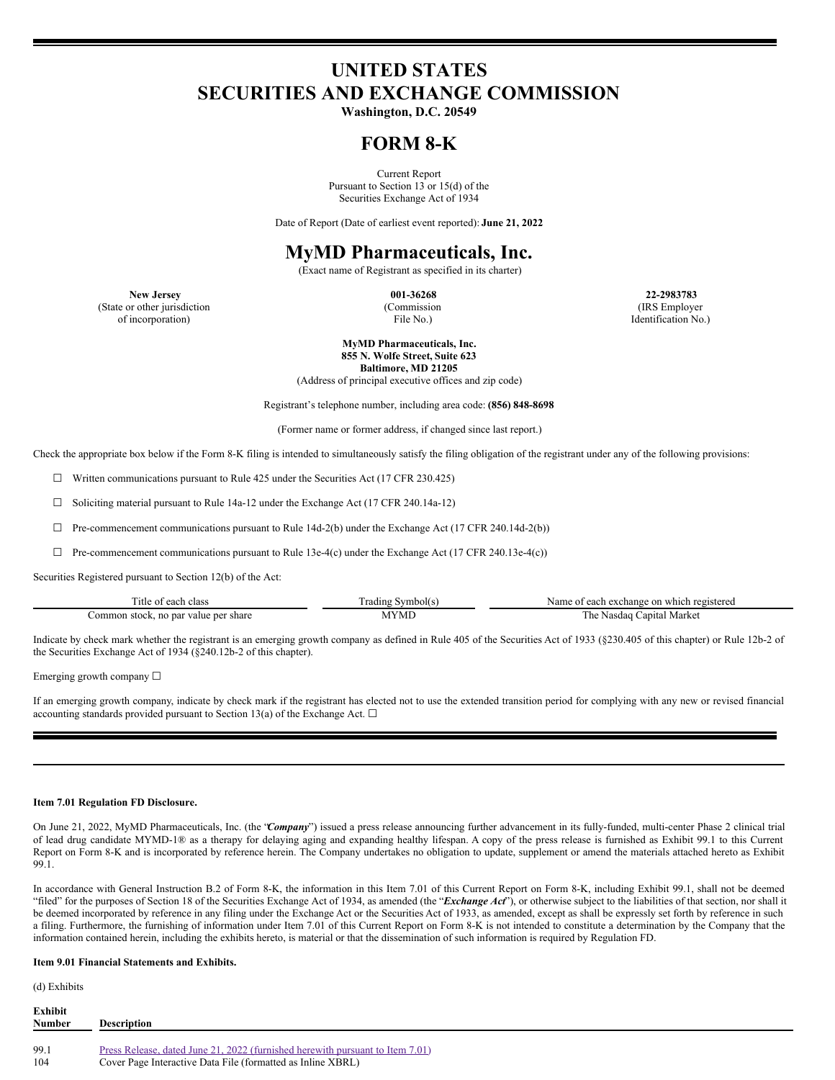# **UNITED STATES SECURITIES AND EXCHANGE COMMISSION**

**Washington, D.C. 20549**

# **FORM 8-K**

Current Report Pursuant to Section 13 or 15(d) of the Securities Exchange Act of 1934

Date of Report (Date of earliest event reported): **June 21, 2022**

# **MyMD Pharmaceuticals, Inc.**

(Exact name of Registrant as specified in its charter)

**New Jersey 001-36268 22-2983783** (State or other jurisdiction of incorporation)

(Commission File No.)

(IRS Employer Identification No.)

**MyMD Pharmaceuticals, Inc. 855 N. Wolfe Street, Suite 623 Baltimore, MD 21205** (Address of principal executive offices and zip code)

Registrant's telephone number, including area code: **(856) 848-8698**

(Former name or former address, if changed since last report.)

Check the appropriate box below if the Form 8-K filing is intended to simultaneously satisfy the filing obligation of the registrant under any of the following provisions:

☐ Written communications pursuant to Rule 425 under the Securities Act (17 CFR 230.425)

☐ Soliciting material pursuant to Rule 14a-12 under the Exchange Act (17 CFR 240.14a-12)

 $\Box$  Pre-commencement communications pursuant to Rule 14d-2(b) under the Exchange Act (17 CFR 240.14d-2(b))

 $\Box$  Pre-commencement communications pursuant to Rule 13e-4(c) under the Exchange Act (17 CFR 240.13e-4(c))

Securities Registered pursuant to Section 12(b) of the Act:

| Title of each                        | Symbol(s)   | f each exchange on which registered |
|--------------------------------------|-------------|-------------------------------------|
| class                                | radıng      | Name                                |
| Common stock, no par value per share | мY<br>′ M I | Capital Market<br>Nasdag<br>ı he-   |

Indicate by check mark whether the registrant is an emerging growth company as defined in Rule 405 of the Securities Act of 1933 (§230.405 of this chapter) or Rule 12b-2 of the Securities Exchange Act of 1934 (§240.12b-2 of this chapter).

Emerging growth company ☐

If an emerging growth company, indicate by check mark if the registrant has elected not to use the extended transition period for complying with any new or revised financial accounting standards provided pursuant to Section 13(a) of the Exchange Act.  $\Box$ 

## **Item 7.01 Regulation FD Disclosure.**

On June 21, 2022, MyMD Pharmaceuticals, Inc. (the "*Company*") issued a press release announcing further advancement in its fully-funded, multi-center Phase 2 clinical trial of lead drug candidate MYMD-1® as a therapy for delaying aging and expanding healthy lifespan. A copy of the press release is furnished as Exhibit 99.1 to this Current Report on Form 8-K and is incorporated by reference herein. The Company undertakes no obligation to update, supplement or amend the materials attached hereto as Exhibit 99.1.

In accordance with General Instruction B.2 of Form 8-K, the information in this Item 7.01 of this Current Report on Form 8-K, including Exhibit 99.1, shall not be deemed "filed" for the purposes of Section 18 of the Securities Exchange Act of 1934, as amended (the "*Exchange Act*"), or otherwise subject to the liabilities of that section, nor shall it be deemed incorporated by reference in any filing under the Exchange Act or the Securities Act of 1933, as amended, except as shall be expressly set forth by reference in such a filing. Furthermore, the furnishing of information under Item 7.01 of this Current Report on Form 8-K is not intended to constitute a determination by the Company that the information contained herein, including the exhibits hereto, is material or that the dissemination of such information is required by Regulation FD.

#### **Item 9.01 Financial Statements and Exhibits.**

(d) Exhibits

| Exhibit<br>Number | <b>Description</b>                                                            |
|-------------------|-------------------------------------------------------------------------------|
| 99.1              | Press Release, dated June 21, 2022 (furnished herewith pursuant to Item 7.01) |
| 104               | Cover Page Interactive Data File (formatted as Inline XBRL)                   |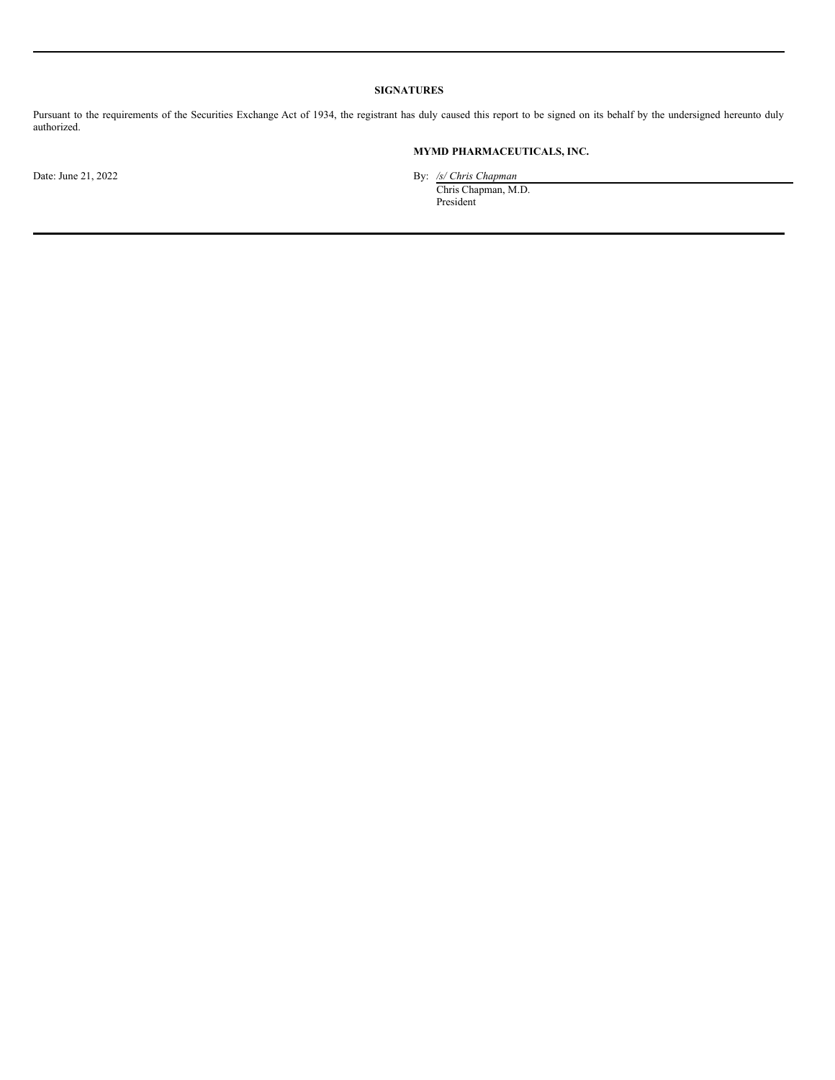## **SIGNATURES**

Pursuant to the requirements of the Securities Exchange Act of 1934, the registrant has duly caused this report to be signed on its behalf by the undersigned hereunto duly authorized.

# **MYMD PHARMACEUTICALS, INC.**

Date: June 21, 2022 **By:** /s/ *Chris Chapman* 

Chris Chapman, M.D. President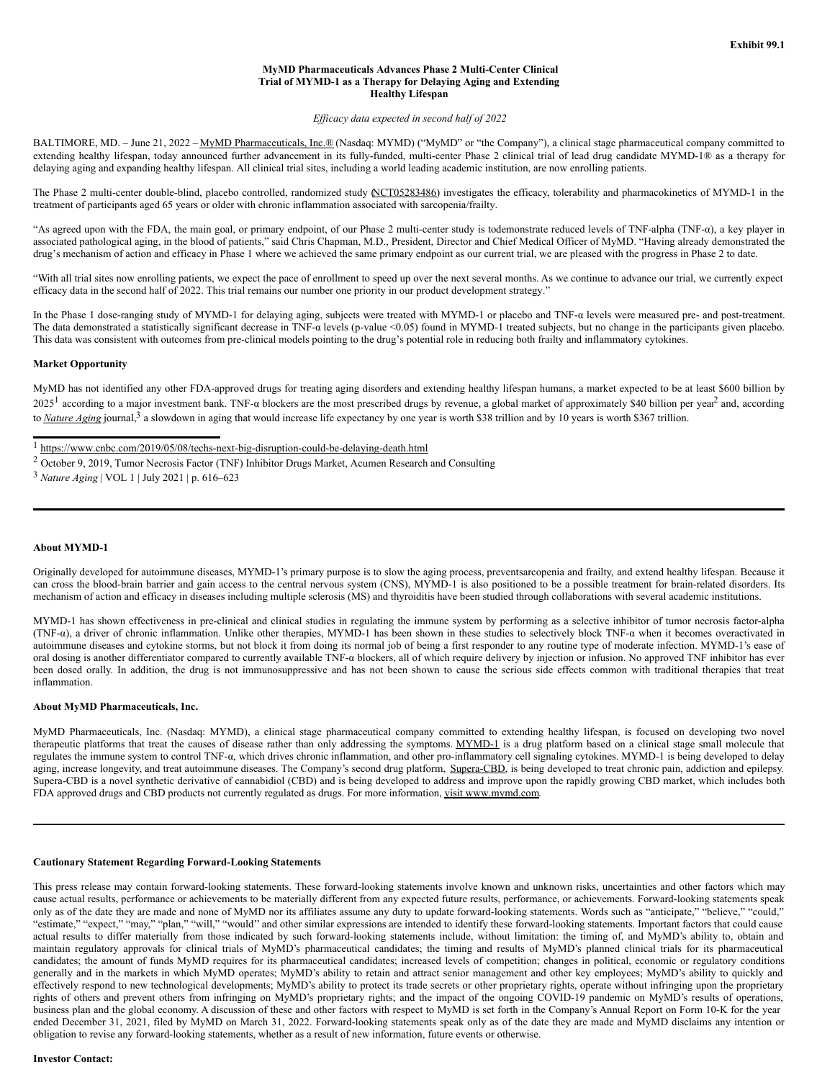#### **MyMD Pharmaceuticals Advances Phase 2 Multi-Center Clinical Trial of MYMD-1 as a Therapy for Delaying Aging and Extending Healthy Lifespan**

#### *Ef icacy data expected in second half of 2022*

<span id="page-2-0"></span>BALTIMORE, MD. - June 21, 2022 - MyMD Pharmaceuticals, Inc.® (Nasdaq: MYMD) ("MyMD" or "the Company"), a clinical stage pharmaceutical company committed to extending healthy lifespan, today announced further advancement in its fully-funded, multi-center Phase 2 clinical trial of lead drug candidate MYMD-1® as a therapy for delaying aging and expanding healthy lifespan. All clinical trial sites, including a world leading academic institution, are now enrolling patients.

The Phase 2 multi-center double-blind, placebo controlled, randomized study (NCT05283486) investigates the efficacy, tolerability and pharmacokinetics of MYMD-1 in the treatment of participants aged 65 years or older with chronic inflammation associated with sarcopenia/frailty.

"As agreed upon with the FDA, the main goal, or primary endpoint, of our Phase 2 multi-center study is todemonstrate reduced levels of TNF-alpha (TNF-α), a key player in associated pathological aging, in the blood of patients," said Chris Chapman, M.D., President, Director and Chief Medical Officer of MyMD. "Having already demonstrated the drug's mechanism of action and efficacy in Phase 1 where we achieved the same primary endpoint as our current trial, we are pleased with the progress in Phase 2 to date.

"With all trial sites now enrolling patients, we expect the pace of enrollment to speed up over the next several months. As we continue to advance our trial, we currently expect efficacy data in the second half of 2022. This trial remains our number one priority in our product development strategy."

In the Phase 1 dose-ranging study of MYMD-1 for delaying aging, subjects were treated with MYMD-1 or placebo and TNF-α levels were measured pre- and post-treatment. The data demonstrated a statistically significant decrease in TNF-α levels (p-value <0.05) found in MYMD-1 treated subjects, but no change in the participants given placebo. This data was consistent with outcomes from pre-clinical models pointing to the drug's potential role in reducing both frailty and inflammatory cytokines.

### **Market Opportunity**

MyMD has not identified any other FDA-approved drugs for treating aging disorders and extending healthy lifespan humans, a market expected to be at least \$600 billion by 2025<sup>1</sup> according to a major investment bank. TNF- $\alpha$  blockers are the most prescribed drugs by revenue, a global market of approximately \$40 billion per year<sup>2</sup> and, according to *Nature Aging* journal,<sup>3</sup> a slowdown in aging that would increase life expectancy by one year is worth \$38 trillion and by 10 years is worth \$367 trillion.

### **About MYMD-1**

Originally developed for autoimmune diseases, MYMD-1's primary purpose is to slow the aging process, preventsarcopenia and frailty, and extend healthy lifespan. Because it can cross the blood-brain barrier and gain access to the central nervous system (CNS), MYMD-1 is also positioned to be a possible treatment for brain-related disorders. Its mechanism of action and efficacy in diseases including multiple sclerosis (MS) and thyroiditis have been studied through collaborations with several academic institutions.

MYMD-1 has shown effectiveness in pre-clinical and clinical studies in regulating the immune system by performing as a selective inhibitor of tumor necrosis factor-alpha (TNF-α), a driver of chronic inflammation. Unlike other therapies, MYMD-1 has been shown in these studies to selectively block TNF-α when it becomes overactivated in autoimmune diseases and cytokine storms, but not block it from doing its normal job of being a first responder to any routine type of moderate infection. MYMD-1's ease of oral dosing is another differentiator compared to currently available TNF-α blockers, all of which require delivery by injection or infusion. No approved TNF inhibitor has ever been dosed orally. In addition, the drug is not immunosuppressive and has not been shown to cause the serious side effects common with traditional therapies that treat inflammation.

### **About MyMD Pharmaceuticals, Inc.**

MyMD Pharmaceuticals, Inc. (Nasdaq: MYMD), a clinical stage pharmaceutical company committed to extending healthy lifespan, is focused on developing two novel therapeutic platforms that treat the causes of disease rather than only addressing the symptoms. MYMD-1 is a drug platform based on a clinical stage small molecule that regulates the immune system to control TNF-α, which drives chronic inflammation, and other pro-inflammatory cell signaling cytokines. MYMD-1 is being developed to delay aging, increase longevity, and treat autoimmune diseases. The Company's second drug platform, Supera-CBD, is being developed to treat chronic pain, addiction and epilepsy. Supera-CBD is a novel synthetic derivative of cannabidiol (CBD) and is being developed to address and improve upon the rapidly growing CBD market, which includes both FDA approved drugs and CBD products not currently regulated as drugs. For more information, visit www.mymd.com.

#### **Cautionary Statement Regarding Forward-Looking Statements**

This press release may contain forward-looking statements. These forward-looking statements involve known and unknown risks, uncertainties and other factors which may cause actual results, performance or achievements to be materially different from any expected future results, performance, or achievements. Forward-looking statements speak only as of the date they are made and none of MyMD nor its affiliates assume any duty to update forward-looking statements. Words such as "anticipate," "believe," "could," "estimate," "expect," "may," "plan," "will," "would'' and other similar expressions are intended to identify these forward-looking statements. Important factors that could cause actual results to differ materially from those indicated by such forward-looking statements include, without limitation: the timing of, and MyMD's ability to, obtain and maintain regulatory approvals for clinical trials of MyMD's pharmaceutical candidates; the timing and results of MyMD's planned clinical trials for its pharmaceutical candidates; the amount of funds MyMD requires for its pharmaceutical candidates; increased levels of competition; changes in political, economic or regulatory conditions generally and in the markets in which MyMD operates; MyMD's ability to retain and attract senior management and other key employees; MyMD's ability to quickly and effectively respond to new technological developments; MyMD's ability to protect its trade secrets or other proprietary rights, operate without infringing upon the proprietary rights of others and prevent others from infringing on MyMD's proprietary rights; and the impact of the ongoing COVID-19 pandemic on MyMD's results of operations, business plan and the global economy. A discussion of these and other factors with respect to MyMD is set forth in the Company's Annual Report on Form 10-K for the year ended December 31, 2021, filed by MyMD on March 31, 2022. Forward-looking statements speak only as of the date they are made and MyMD disclaims any intention or obligation to revise any forward-looking statements, whether as a result of new information, future events or otherwise.

 $1$  https://www.cnbc.com/2019/05/08/techs-next-big-disruption-could-be-delaying-death.html

<sup>2</sup> October 9, 2019, Tumor Necrosis Factor (TNF) Inhibitor Drugs Market, Acumen Research and Consulting

<sup>3</sup> *Nature Aging* | VOL 1 | July 2021 | p. 616–623